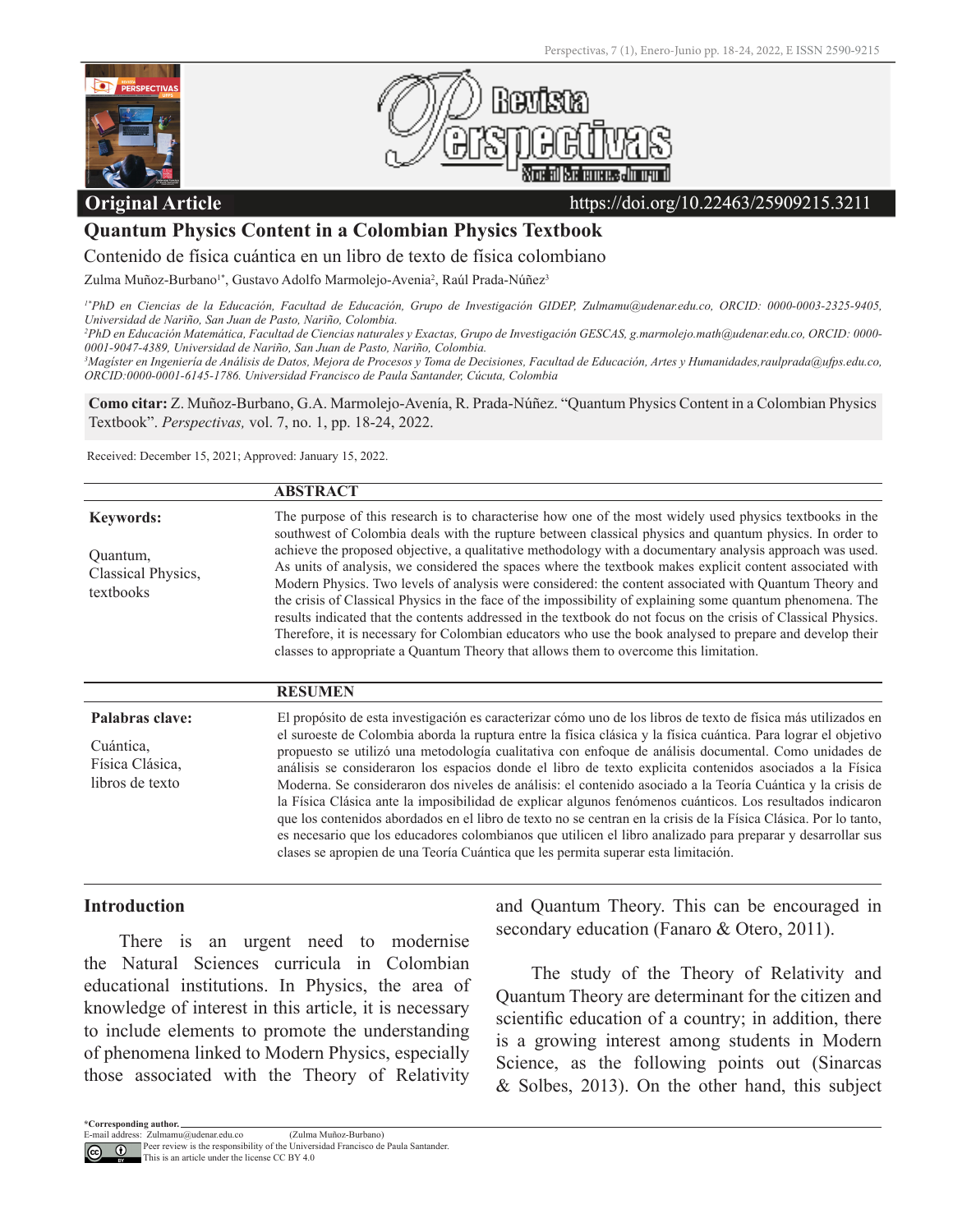



## **Original Article**

#### https://doi.org/10.22463/25909215.3211

## **Quantum Physics Content in a Colombian Physics Textbook**

Contenido de física cuántica en un libro de texto de física colombiano

Zulma Muñoz-Burbano<sup>1\*</sup>, Gustavo Adolfo Marmolejo-Avenia<sup>2</sup>, Raúl Prada-Núñez<sup>3</sup>

*1\*PhD en Ciencias de la Educación, Facultad de Educación, Grupo de Investigación GIDEP, Zulmamu@udenar.edu.co, ORCID: 0000-0003-2325-9405, Universidad de Nariño, San Juan de Pasto, Nariño, Colombia.*

*2 PhD en Educación Matemática, Facultad de Ciencias naturales y Exactas, Grupo de Investigación GESCAS, g.marmolejo.math@udenar.edu.co, ORCID: 0000- 0001-9047-4389, Universidad de Nariño, San Juan de Pasto, Nariño, Colombia.* 

*3 Magíster en Ingeniería de Análisis de Datos, Mejora de Procesos y Toma de Decisiones, Facultad de Educación, Artes y Humanidades,raulprada@ufps.edu.co, ORCID:0000-0001-6145-1786. Universidad Francisco de Paula Santander, Cúcuta, Colombia*

**Como citar:** Z. Muñoz-Burbano, G.A. Marmolejo-Avenía, R. Prada-Núñez. "Quantum Physics Content in a Colombian Physics Textbook". *Perspectivas,* vol. 7, no. 1, pp. 18-24, 2022.

Received: December 15, 2021; Approved: January 15, 2022.

|                                                                    | <b>ABSTRACT</b>                                                                                                                                                                                                                                                                                                                                                                                                                                                                                                                                                                                                                                                                                                                                                                                                                                                                                                                                                                                             |
|--------------------------------------------------------------------|-------------------------------------------------------------------------------------------------------------------------------------------------------------------------------------------------------------------------------------------------------------------------------------------------------------------------------------------------------------------------------------------------------------------------------------------------------------------------------------------------------------------------------------------------------------------------------------------------------------------------------------------------------------------------------------------------------------------------------------------------------------------------------------------------------------------------------------------------------------------------------------------------------------------------------------------------------------------------------------------------------------|
| <b>Keywords:</b><br>Quantum,<br>Classical Physics,<br>textbooks    | The purpose of this research is to characterise how one of the most widely used physics textbooks in the<br>southwest of Colombia deals with the rupture between classical physics and quantum physics. In order to<br>achieve the proposed objective, a qualitative methodology with a documentary analysis approach was used.<br>As units of analysis, we considered the spaces where the textbook makes explicit content associated with<br>Modern Physics. Two levels of analysis were considered: the content associated with Quantum Theory and<br>the crisis of Classical Physics in the face of the impossibility of explaining some quantum phenomena. The<br>results indicated that the contents addressed in the textbook do not focus on the crisis of Classical Physics.<br>Therefore, it is necessary for Colombian educators who use the book analysed to prepare and develop their<br>classes to appropriate a Quantum Theory that allows them to overcome this limitation.                 |
|                                                                    | <b>RESUMEN</b>                                                                                                                                                                                                                                                                                                                                                                                                                                                                                                                                                                                                                                                                                                                                                                                                                                                                                                                                                                                              |
| Palabras clave:<br>Cuántica,<br>Física Clásica,<br>libros de texto | El propósito de esta investigación es caracterizar cómo uno de los libros de texto de física más utilizados en<br>el suroeste de Colombia aborda la ruptura entre la física clásica y la física cuántica. Para lograr el objetivo<br>propuesto se utilizó una metodología cualitativa con enfoque de análisis documental. Como unidades de<br>análisis se consideraron los espacios donde el libro de texto explicita contenidos asociados a la Física<br>Moderna. Se consideraron dos niveles de análisis: el contenido asociado a la Teoría Cuántica y la crisis de<br>la Física Clásica ante la imposibilidad de explicar algunos fenómenos cuánticos. Los resultados indicaron<br>que los contenidos abordados en el libro de texto no se centran en la crisis de la Física Clásica. Por lo tanto,<br>es necesario que los educadores colombianos que utilicen el libro analizado para preparar y desarrollar sus<br>clases se apropien de una Teoría Cuántica que les permita superar esta limitación. |

## **Introduction**

There is an urgent need to modernise the Natural Sciences curricula in Colombian educational institutions. In Physics, the area of knowledge of interest in this article, it is necessary to include elements to promote the understanding of phenomena linked to Modern Physics, especially those associated with the Theory of Relativity and Quantum Theory. This can be encouraged in secondary education (Fanaro & Otero, 2011).

The study of the Theory of Relativity and Quantum Theory are determinant for the citizen and scientific education of a country; in addition, there is a growing interest among students in Modern Science, as the following points out (Sinarcas & Solbes, 2013). On the other hand, this subject

This is an article under the license CC BY 4.0

**<sup>\*</sup>Corresponding author.** E-mail address:

Zulmamu@udenar.edu.co (Zulma Muñoz-Burbano)<br>Peer review is the responsibility of the Universidad Francisco de Paula Santander.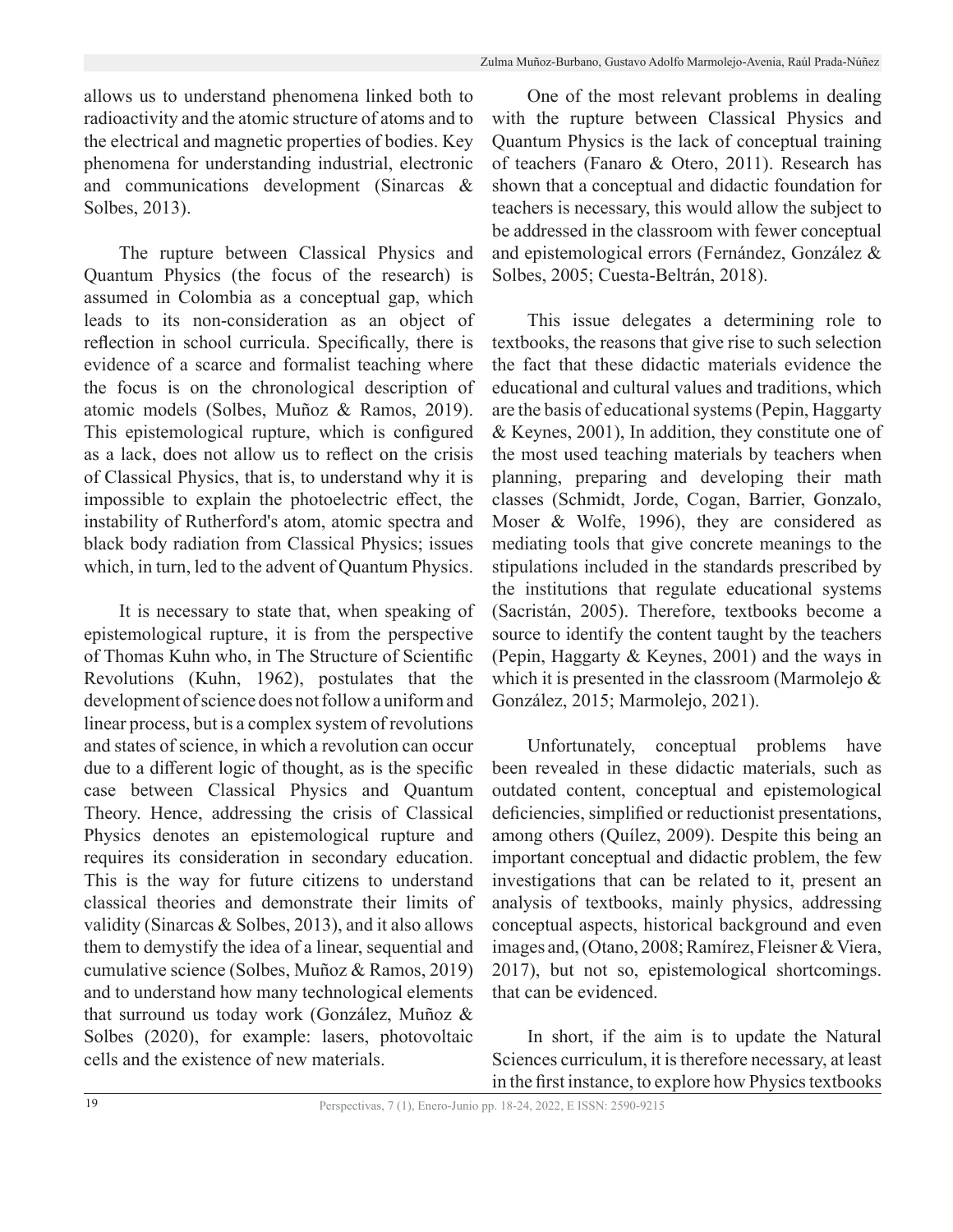allows us to understand phenomena linked both to radioactivity and the atomic structure of atoms and to the electrical and magnetic properties of bodies. Key phenomena for understanding industrial, electronic and communications development (Sinarcas & Solbes, 2013).

The rupture between Classical Physics and Quantum Physics (the focus of the research) is assumed in Colombia as a conceptual gap, which leads to its non-consideration as an object of reflection in school curricula. Specifically, there is evidence of a scarce and formalist teaching where the focus is on the chronological description of atomic models (Solbes, Muñoz & Ramos, 2019). This epistemological rupture, which is configured as a lack, does not allow us to reflect on the crisis of Classical Physics, that is, to understand why it is impossible to explain the photoelectric effect, the instability of Rutherford's atom, atomic spectra and black body radiation from Classical Physics; issues which, in turn, led to the advent of Quantum Physics.

It is necessary to state that, when speaking of epistemological rupture, it is from the perspective of Thomas Kuhn who, in The Structure of Scientific Revolutions (Kuhn, 1962), postulates that the development of science does not follow a uniform and linear process, but is a complex system of revolutions and states of science, in which a revolution can occur due to a different logic of thought, as is the specific case between Classical Physics and Quantum Theory. Hence, addressing the crisis of Classical Physics denotes an epistemological rupture and requires its consideration in secondary education. This is the way for future citizens to understand classical theories and demonstrate their limits of validity (Sinarcas & Solbes, 2013), and it also allows them to demystify the idea of a linear, sequential and cumulative science (Solbes, Muñoz & Ramos, 2019) and to understand how many technological elements that surround us today work (González, Muñoz & Solbes (2020), for example: lasers, photovoltaic cells and the existence of new materials.

One of the most relevant problems in dealing with the rupture between Classical Physics and Quantum Physics is the lack of conceptual training of teachers (Fanaro & Otero, 2011). Research has shown that a conceptual and didactic foundation for teachers is necessary, this would allow the subject to be addressed in the classroom with fewer conceptual and epistemological errors (Fernández, González & Solbes, 2005; Cuesta-Beltrán, 2018).

This issue delegates a determining role to textbooks, the reasons that give rise to such selection the fact that these didactic materials evidence the educational and cultural values and traditions, which are the basis of educational systems (Pepin, Haggarty & Keynes, 2001), In addition, they constitute one of the most used teaching materials by teachers when planning, preparing and developing their math classes (Schmidt, Jorde, Cogan, Barrier, Gonzalo, Moser & Wolfe, 1996), they are considered as mediating tools that give concrete meanings to the stipulations included in the standards prescribed by the institutions that regulate educational systems (Sacristán, 2005). Therefore, textbooks become a source to identify the content taught by the teachers (Pepin, Haggarty & Keynes, 2001) and the ways in which it is presented in the classroom (Marmolejo & González, 2015; Marmolejo, 2021).

Unfortunately, conceptual problems have been revealed in these didactic materials, such as outdated content, conceptual and epistemological deficiencies, simplified or reductionist presentations, among others (Quílez, 2009). Despite this being an important conceptual and didactic problem, the few investigations that can be related to it, present an analysis of textbooks, mainly physics, addressing conceptual aspects, historical background and even images and, (Otano, 2008; Ramírez, Fleisner & Viera, 2017), but not so, epistemological shortcomings. that can be evidenced.

In short, if the aim is to update the Natural Sciences curriculum, it is therefore necessary, at least in the first instance, to explore how Physics textbooks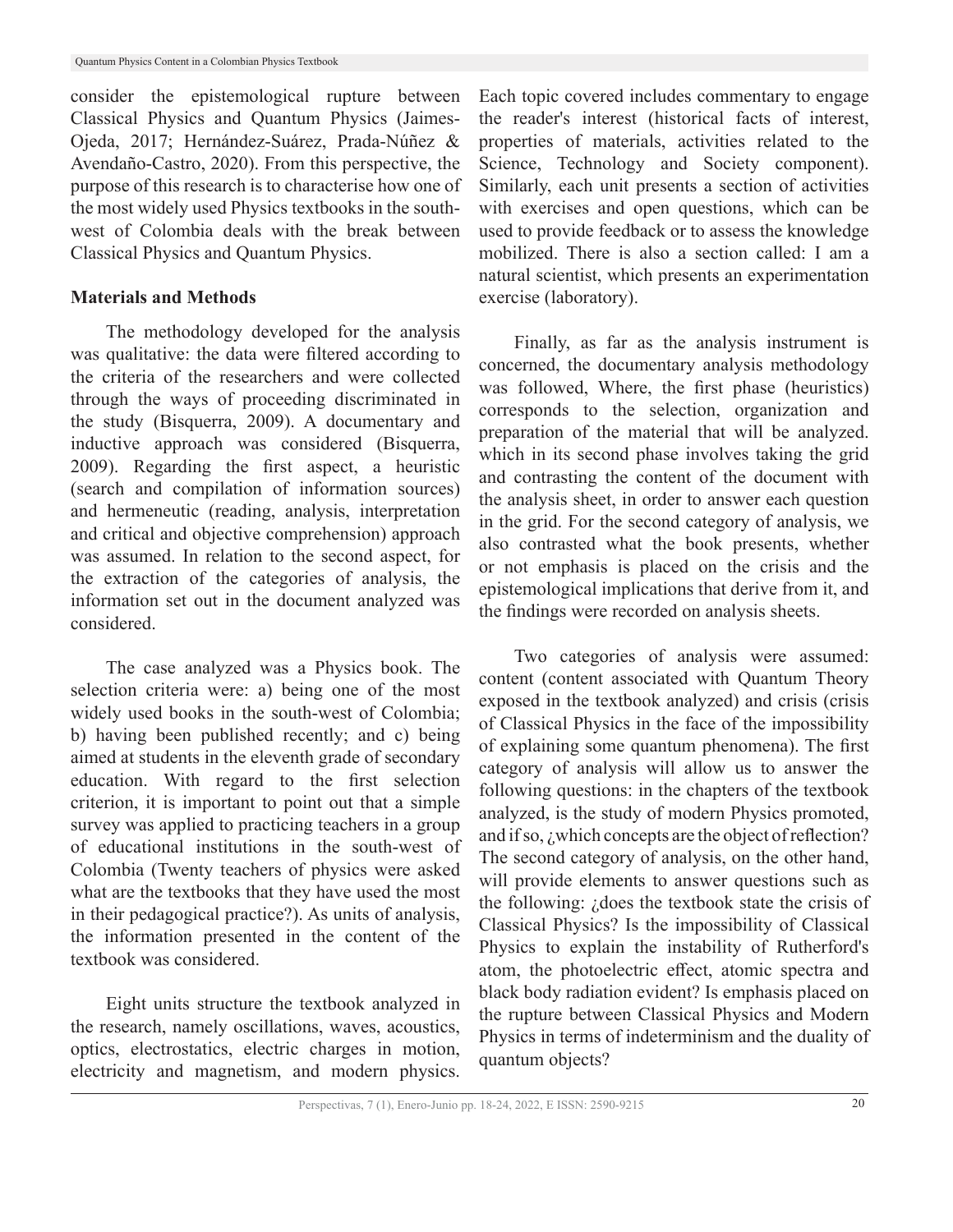consider the epistemological rupture between Classical Physics and Quantum Physics (Jaimes-Ojeda, 2017; Hernández-Suárez, Prada-Núñez & Avendaño-Castro, 2020). From this perspective, the purpose of this research is to characterise how one of the most widely used Physics textbooks in the southwest of Colombia deals with the break between Classical Physics and Quantum Physics.

## **Materials and Methods**

The methodology developed for the analysis was qualitative: the data were filtered according to the criteria of the researchers and were collected through the ways of proceeding discriminated in the study (Bisquerra, 2009). A documentary and inductive approach was considered (Bisquerra, 2009). Regarding the first aspect, a heuristic (search and compilation of information sources) and hermeneutic (reading, analysis, interpretation and critical and objective comprehension) approach was assumed. In relation to the second aspect, for the extraction of the categories of analysis, the information set out in the document analyzed was considered.

The case analyzed was a Physics book. The selection criteria were: a) being one of the most widely used books in the south-west of Colombia; b) having been published recently; and c) being aimed at students in the eleventh grade of secondary education. With regard to the first selection criterion, it is important to point out that a simple survey was applied to practicing teachers in a group of educational institutions in the south-west of Colombia (Twenty teachers of physics were asked what are the textbooks that they have used the most in their pedagogical practice?). As units of analysis, the information presented in the content of the textbook was considered.

Eight units structure the textbook analyzed in the research, namely oscillations, waves, acoustics, optics, electrostatics, electric charges in motion, electricity and magnetism, and modern physics.

Each topic covered includes commentary to engage the reader's interest (historical facts of interest, properties of materials, activities related to the Science, Technology and Society component). Similarly, each unit presents a section of activities with exercises and open questions, which can be used to provide feedback or to assess the knowledge mobilized. There is also a section called: I am a natural scientist, which presents an experimentation exercise (laboratory).

Finally, as far as the analysis instrument is concerned, the documentary analysis methodology was followed, Where, the first phase (heuristics) corresponds to the selection, organization and preparation of the material that will be analyzed. which in its second phase involves taking the grid and contrasting the content of the document with the analysis sheet, in order to answer each question in the grid. For the second category of analysis, we also contrasted what the book presents, whether or not emphasis is placed on the crisis and the epistemological implications that derive from it, and the findings were recorded on analysis sheets.

Two categories of analysis were assumed: content (content associated with Quantum Theory exposed in the textbook analyzed) and crisis (crisis of Classical Physics in the face of the impossibility of explaining some quantum phenomena). The first category of analysis will allow us to answer the following questions: in the chapters of the textbook analyzed, is the study of modern Physics promoted, and if so, *i* which concepts are the object of reflection? The second category of analysis, on the other hand, will provide elements to answer questions such as the following: ¿does the textbook state the crisis of Classical Physics? Is the impossibility of Classical Physics to explain the instability of Rutherford's atom, the photoelectric effect, atomic spectra and black body radiation evident? Is emphasis placed on the rupture between Classical Physics and Modern Physics in terms of indeterminism and the duality of quantum objects?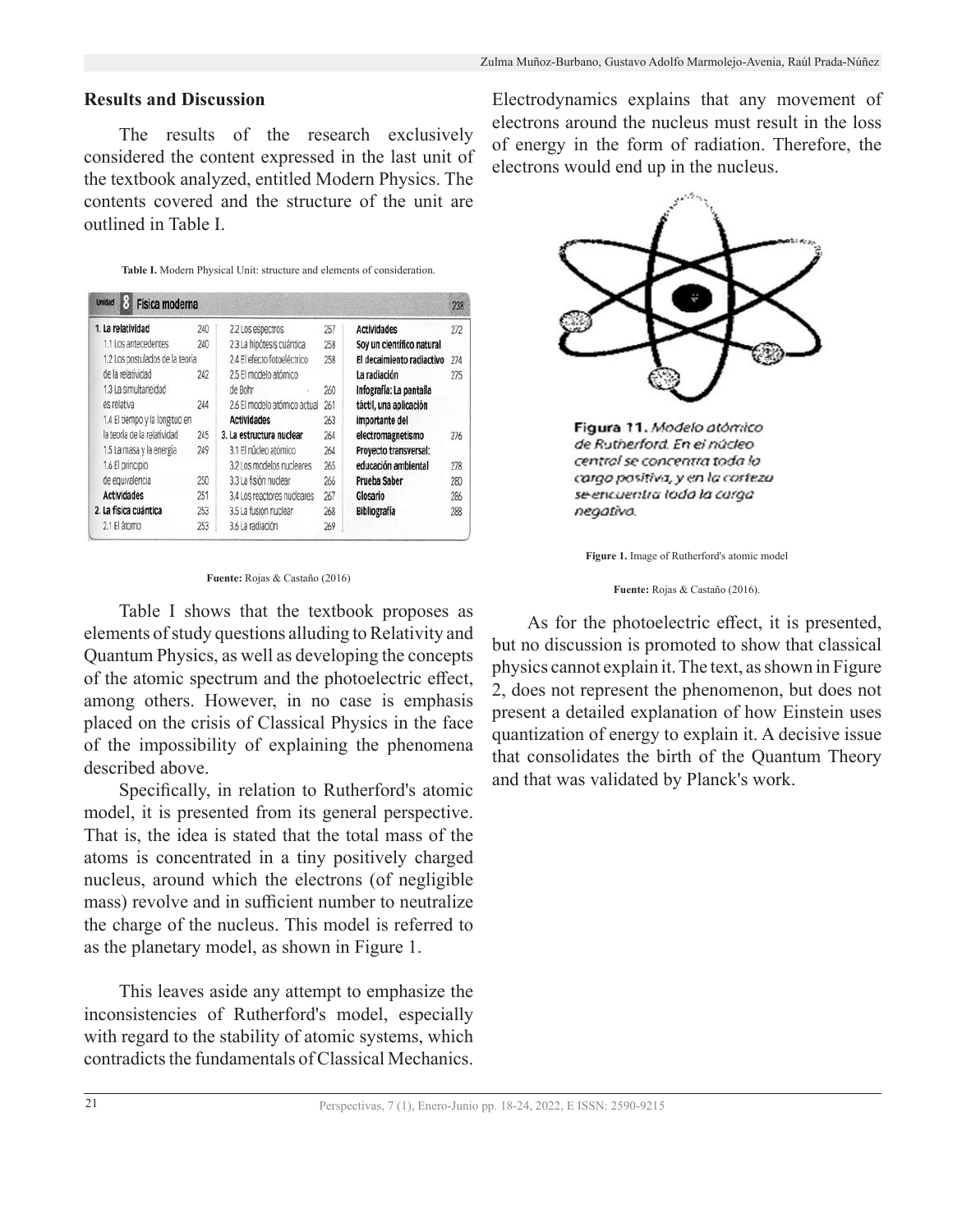## **Results and Discussion**

The results of the research exclusively considered the content expressed in the last unit of the textbook analyzed, entitled Modern Physics. The contents covered and the structure of the unit are outlined in Table I.

**Table I.** Modern Physical Unit: structure and elements of consideration.

| <b>Unidad</b><br>Física moderna |     |                              |     |                           | 238 |
|---------------------------------|-----|------------------------------|-----|---------------------------|-----|
| 1. La relatividad               | 240 | 2.2 Los espectros            | 257 | <b>Actividades</b>        | 272 |
| 1.1 Los antecedentes            | 240 | 2.3 La hipótesis cuántica    | 258 | Soy un científico natural |     |
| 1.2 Los postulados de la teoría |     | 2.4 El efecto fotoeléctrico  | 258 | El decaimiento radiactivo | 274 |
| de la relatividad               | 242 | 2.5 El modelo atómico        |     | La radiación              | 275 |
| 1.3 La simultaneidad            |     | de Bohr                      | 260 | Infografía: La pantalla   |     |
| es relativa                     | 244 | 2.6 El modelo atómico actual | 261 | táctil, una aplicación    |     |
| 1.4 El tiempo y la longitud en  |     | <b>Actividades</b>           | 263 | importante del            |     |
| la teoría de la relatividad     | 245 | 3. La estructura nuclear     | 264 | electromagnetismo         | 276 |
| 1.5 La masa y la energía        | 249 | 3.1 El núcleo atómico        | 264 | Proyecto transversal:     |     |
| 1.6 El principio                |     | 3.2 Los modelos nucleares    | 265 | educación ambiental       | 278 |
| de equivalencia                 | 250 | 3.3 La fisión nuclear        | 266 | Prueba Saber              | 280 |
| <b>Actividades</b>              | 251 | 3.4 Los reactores nucleares  | 267 | Glosario                  | 286 |
| 2. La física cuántica           | 253 | 3.5 La fusión nuclear        | 268 | <b>Bibliografía</b>       | 288 |
| 2.1 El átomo                    | 253 | 3.6 La radiación             | 269 |                           |     |

**Fuente:** Rojas & Castaño (2016)

Table I shows that the textbook proposes as elements of study questions alluding to Relativity and Quantum Physics, as well as developing the concepts of the atomic spectrum and the photoelectric effect, among others. However, in no case is emphasis placed on the crisis of Classical Physics in the face of the impossibility of explaining the phenomena described above.

Specifically, in relation to Rutherford's atomic model, it is presented from its general perspective. That is, the idea is stated that the total mass of the atoms is concentrated in a tiny positively charged nucleus, around which the electrons (of negligible mass) revolve and in sufficient number to neutralize the charge of the nucleus. This model is referred to as the planetary model, as shown in Figure 1.

This leaves aside any attempt to emphasize the inconsistencies of Rutherford's model, especially with regard to the stability of atomic systems, which contradicts the fundamentals of Classical Mechanics.

Electrodynamics explains that any movement of electrons around the nucleus must result in the loss of energy in the form of radiation. Therefore, the electrons would end up in the nucleus.



Figura 11. Modelo atómico de Rutherford. En el núcleo central se concentra toda lo cargo positiva, y en la corteza se encuentra toda la carga negativa.

**Figure 1.** Image of Rutherford's atomic model

**Fuente:** Rojas & Castaño (2016).

As for the photoelectric effect, it is presented, but no discussion is promoted to show that classical physics cannot explain it. The text, as shown in Figure 2, does not represent the phenomenon, but does not present a detailed explanation of how Einstein uses quantization of energy to explain it. A decisive issue that consolidates the birth of the Quantum Theory and that was validated by Planck's work.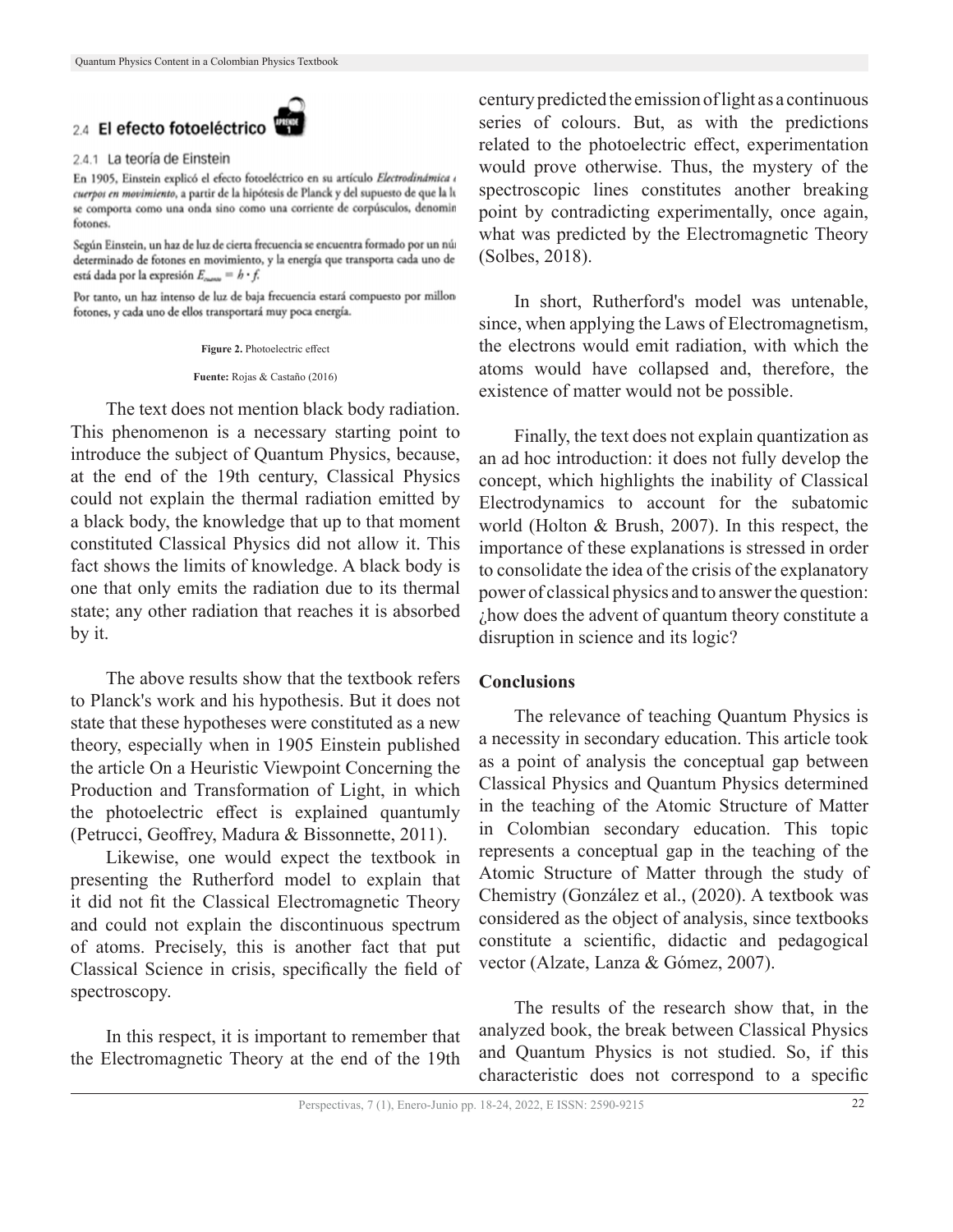# 2.4 El efecto fotoeléctrico

#### 2.4.1 La teoría de Einstein

En 1905, Einstein explicó el efecto fotoeléctrico en su artículo Electrodinámica e cuerpos en movimiento, a partir de la hipótesis de Planck y del supuesto de que la li se comporta como una onda sino como una corriente de corpúsculos, denomin fotones.

Según Einstein, un haz de luz de cierta frecuencia se encuentra formado por un núa determinado de fotones en movimiento, y la energía que transporta cada uno de está dada por la expresión  $E_{\text{mass}} = h \cdot f$ .

Por tanto, un haz intenso de luz de baja frecuencia estará compuesto por millon fotones, y cada uno de ellos transportará muy poca energía.

**Figure 2.** Photoelectric effect

**Fuente:** Rojas & Castaño (2016)

The text does not mention black body radiation. This phenomenon is a necessary starting point to introduce the subject of Quantum Physics, because, at the end of the 19th century, Classical Physics could not explain the thermal radiation emitted by a black body, the knowledge that up to that moment constituted Classical Physics did not allow it. This fact shows the limits of knowledge. A black body is one that only emits the radiation due to its thermal state; any other radiation that reaches it is absorbed by it.

The above results show that the textbook refers to Planck's work and his hypothesis. But it does not state that these hypotheses were constituted as a new theory, especially when in 1905 Einstein published the article On a Heuristic Viewpoint Concerning the Production and Transformation of Light, in which the photoelectric effect is explained quantumly (Petrucci, Geoffrey, Madura & Bissonnette, 2011).

Likewise, one would expect the textbook in presenting the Rutherford model to explain that it did not fit the Classical Electromagnetic Theory and could not explain the discontinuous spectrum of atoms. Precisely, this is another fact that put Classical Science in crisis, specifically the field of spectroscopy.

In this respect, it is important to remember that the Electromagnetic Theory at the end of the 19th

century predicted the emission of light as a continuous series of colours. But, as with the predictions related to the photoelectric effect, experimentation would prove otherwise. Thus, the mystery of the spectroscopic lines constitutes another breaking point by contradicting experimentally, once again, what was predicted by the Electromagnetic Theory (Solbes, 2018).

In short, Rutherford's model was untenable, since, when applying the Laws of Electromagnetism, the electrons would emit radiation, with which the atoms would have collapsed and, therefore, the existence of matter would not be possible.

Finally, the text does not explain quantization as an ad hoc introduction: it does not fully develop the concept, which highlights the inability of Classical Electrodynamics to account for the subatomic world (Holton & Brush, 2007). In this respect, the importance of these explanations is stressed in order to consolidate the idea of the crisis of the explanatory power of classical physics and to answer the question: ¿how does the advent of quantum theory constitute a disruption in science and its logic?

#### **Conclusions**

The relevance of teaching Quantum Physics is a necessity in secondary education. This article took as a point of analysis the conceptual gap between Classical Physics and Quantum Physics determined in the teaching of the Atomic Structure of Matter in Colombian secondary education. This topic represents a conceptual gap in the teaching of the Atomic Structure of Matter through the study of Chemistry (González et al., (2020). A textbook was considered as the object of analysis, since textbooks constitute a scientific, didactic and pedagogical vector (Alzate, Lanza & Gómez, 2007).

The results of the research show that, in the analyzed book, the break between Classical Physics and Quantum Physics is not studied. So, if this characteristic does not correspond to a specific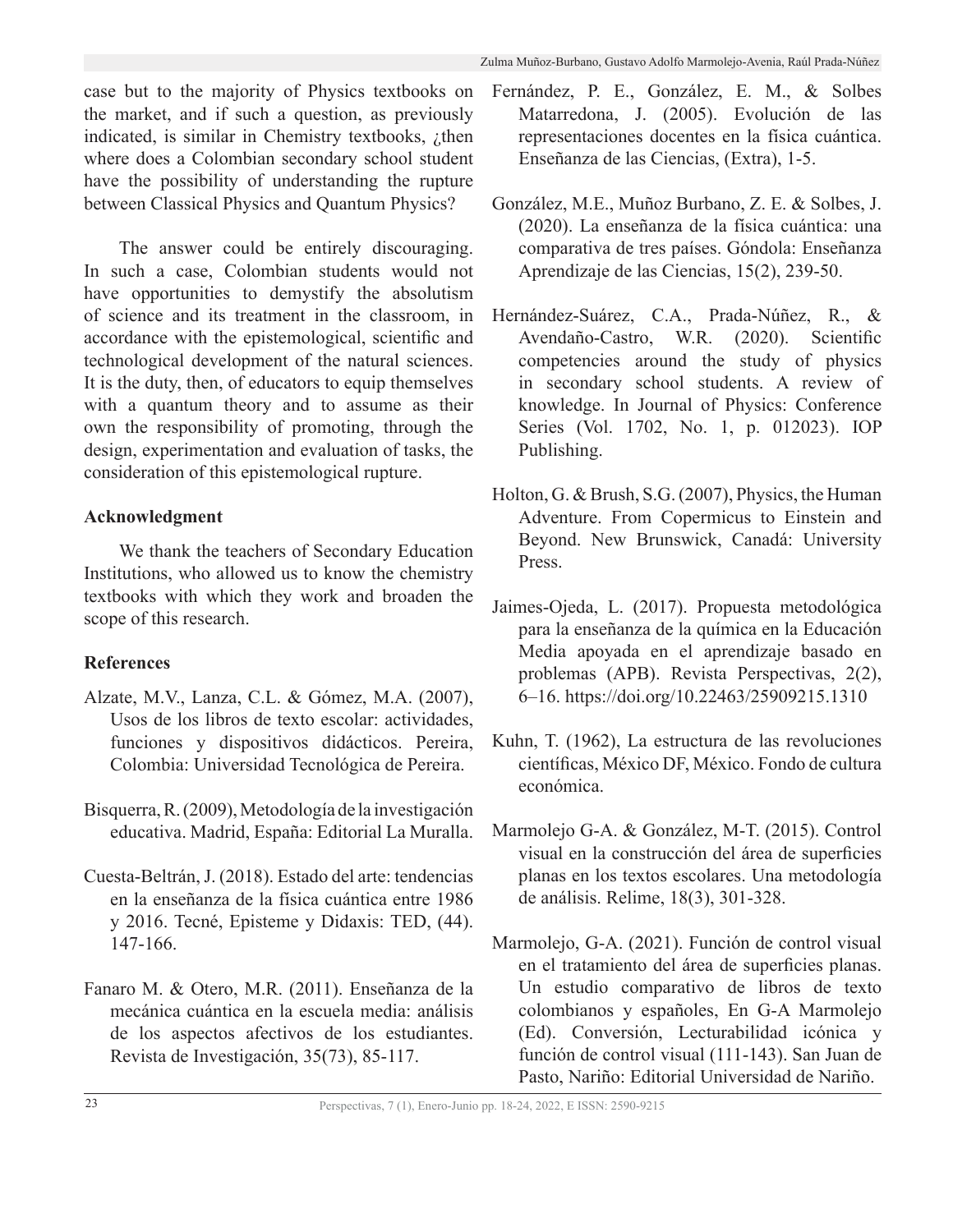case but to the majority of Physics textbooks on the market, and if such a question, as previously indicated, is similar in Chemistry textbooks,  $\chi$ then where does a Colombian secondary school student have the possibility of understanding the rupture between Classical Physics and Quantum Physics?

The answer could be entirely discouraging. In such a case, Colombian students would not have opportunities to demystify the absolutism of science and its treatment in the classroom, in accordance with the epistemological, scientific and technological development of the natural sciences. It is the duty, then, of educators to equip themselves with a quantum theory and to assume as their own the responsibility of promoting, through the design, experimentation and evaluation of tasks, the consideration of this epistemological rupture.

# **Acknowledgment**

We thank the teachers of Secondary Education Institutions, who allowed us to know the chemistry textbooks with which they work and broaden the scope of this research.

# **References**

- Alzate, M.V., Lanza, C.L. & Gómez, M.A. (2007), Usos de los libros de texto escolar: actividades, funciones y dispositivos didácticos. Pereira, Colombia: Universidad Tecnológica de Pereira.
- Bisquerra, R. (2009), Metodología de la investigación educativa. Madrid, España: Editorial La Muralla.
- Cuesta-Beltrán, J. (2018). Estado del arte: tendencias en la enseñanza de la física cuántica entre 1986 y 2016. Tecné, Episteme y Didaxis: TED, (44). 147-166.
- Fanaro M. & Otero, M.R. (2011). Enseñanza de la mecánica cuántica en la escuela media: análisis de los aspectos afectivos de los estudiantes. Revista de Investigación, 35(73), 85-117.
- Fernández, P. E., González, E. M., & Solbes Matarredona, J. (2005). Evolución de las representaciones docentes en la física cuántica. Enseñanza de las Ciencias, (Extra), 1-5.
- González, M.E., Muñoz Burbano, Z. E. & Solbes, J. (2020). La enseñanza de la física cuántica: una comparativa de tres países. Góndola: Enseñanza Aprendizaje de las Ciencias, 15(2), 239-50.
- Hernández-Suárez, C.A., Prada-Núñez, R., & Avendaño-Castro, W.R. (2020). Scientific competencies around the study of physics in secondary school students. A review of knowledge. In Journal of Physics: Conference Series (Vol. 1702, No. 1, p. 012023). IOP Publishing.
- Holton, G. & Brush, S.G. (2007), Physics, the Human Adventure. From Copermicus to Einstein and Beyond. New Brunswick, Canadá: University Press.
- Jaimes-Ojeda, L. (2017). Propuesta metodológica para la enseñanza de la química en la Educación Media apoyada en el aprendizaje basado en problemas (APB). Revista Perspectivas, 2(2), 6–16. https://doi.org/10.22463/25909215.1310
- Kuhn, T. (1962), La estructura de las revoluciones científicas, México DF, México. Fondo de cultura económica.
- Marmolejo G-A. & González, M-T. (2015). Control visual en la construcción del área de superficies planas en los textos escolares. Una metodología de análisis. Relime, 18(3), 301-328.
- Marmolejo, G-A. (2021). Función de control visual en el tratamiento del área de superficies planas. Un estudio comparativo de libros de texto colombianos y españoles, En G-A Marmolejo (Ed). Conversión, Lecturabilidad icónica y función de control visual (111-143). San Juan de Pasto, Nariño: Editorial Universidad de Nariño.